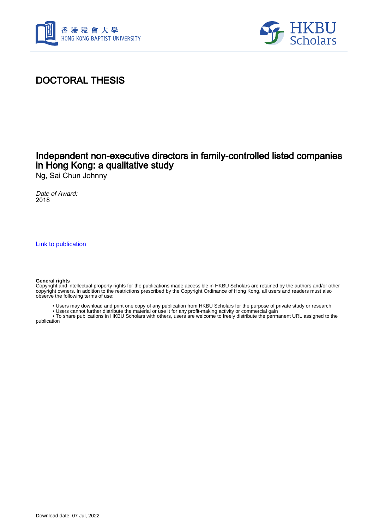



## DOCTORAL THESIS

## Independent non-executive directors in family-controlled listed companies in Hong Kong: a qualitative study

Ng, Sai Chun Johnny

Date of Award: 2018

[Link to publication](https://scholars.hkbu.edu.hk/en/studentTheses/f779bd4f-19f6-458c-9452-3530c74e2351)

#### **General rights**

Copyright and intellectual property rights for the publications made accessible in HKBU Scholars are retained by the authors and/or other copyright owners. In addition to the restrictions prescribed by the Copyright Ordinance of Hong Kong, all users and readers must also observe the following terms of use:

- Users may download and print one copy of any publication from HKBU Scholars for the purpose of private study or research
- Users cannot further distribute the material or use it for any profit-making activity or commercial gain

 • To share publications in HKBU Scholars with others, users are welcome to freely distribute the permanent URL assigned to the publication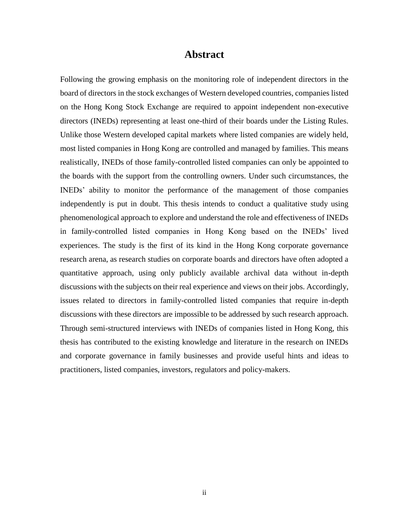### **Abstract**

<span id="page-1-0"></span>Following the growing emphasis on the monitoring role of independent directors in the board of directors in the stock exchanges of Western developed countries, companies listed on the Hong Kong Stock Exchange are required to appoint independent non-executive directors (INEDs) representing at least one-third of their boards under the Listing Rules. Unlike those Western developed capital markets where listed companies are widely held, most listed companies in Hong Kong are controlled and managed by families. This means realistically, INEDs of those family-controlled listed companies can only be appointed to the boards with the support from the controlling owners. Under such circumstances, the INEDs' ability to monitor the performance of the management of those companies independently is put in doubt. This thesis intends to conduct a qualitative study using phenomenological approach to explore and understand the role and effectiveness of INEDs in family-controlled listed companies in Hong Kong based on the INEDs' lived experiences. The study is the first of its kind in the Hong Kong corporate governance research arena, as research studies on corporate boards and directors have often adopted a quantitative approach, using only publicly available archival data without in-depth discussions with the subjects on their real experience and views on their jobs. Accordingly, issues related to directors in family-controlled listed companies that require in-depth discussions with these directors are impossible to be addressed by such research approach. Through semi-structured interviews with INEDs of companies listed in Hong Kong, this thesis has contributed to the existing knowledge and literature in the research on INEDs and corporate governance in family businesses and provide useful hints and ideas to practitioners, listed companies, investors, regulators and policy-makers.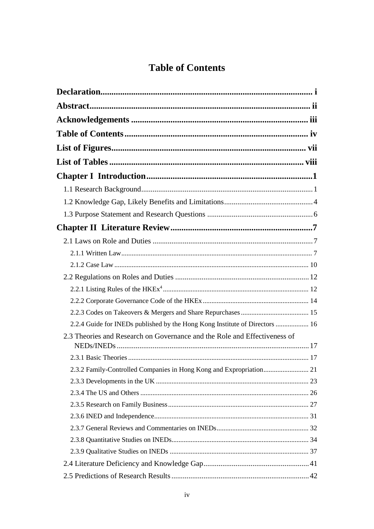# **Table of Contents**

<span id="page-2-0"></span>

| 2.2.4 Guide for INEDs published by the Hong Kong Institute of Directors  16 |  |
|-----------------------------------------------------------------------------|--|
| 2.3 Theories and Research on Governance and the Role and Effectiveness of   |  |
|                                                                             |  |
|                                                                             |  |
| 2.3.2 Family-Controlled Companies in Hong Kong and Expropriation 21         |  |
|                                                                             |  |
|                                                                             |  |
|                                                                             |  |
|                                                                             |  |
|                                                                             |  |
|                                                                             |  |
|                                                                             |  |
|                                                                             |  |
|                                                                             |  |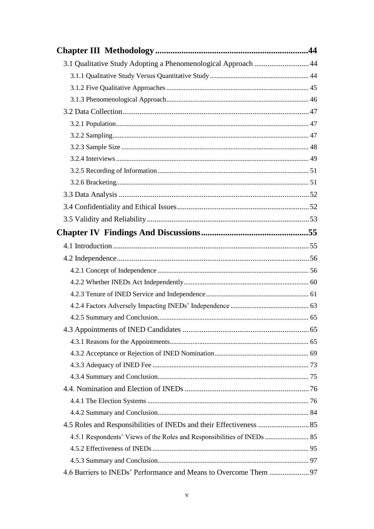| 3.1 Qualitative Study Adopting a Phenomenological Approach  44          |  |
|-------------------------------------------------------------------------|--|
|                                                                         |  |
|                                                                         |  |
|                                                                         |  |
|                                                                         |  |
|                                                                         |  |
|                                                                         |  |
|                                                                         |  |
|                                                                         |  |
|                                                                         |  |
|                                                                         |  |
|                                                                         |  |
|                                                                         |  |
|                                                                         |  |
|                                                                         |  |
|                                                                         |  |
|                                                                         |  |
|                                                                         |  |
|                                                                         |  |
|                                                                         |  |
|                                                                         |  |
|                                                                         |  |
|                                                                         |  |
|                                                                         |  |
|                                                                         |  |
|                                                                         |  |
|                                                                         |  |
|                                                                         |  |
|                                                                         |  |
|                                                                         |  |
|                                                                         |  |
| 4.5.1 Respondents' Views of the Roles and Responsibilities of INEDs  85 |  |
|                                                                         |  |
|                                                                         |  |
|                                                                         |  |